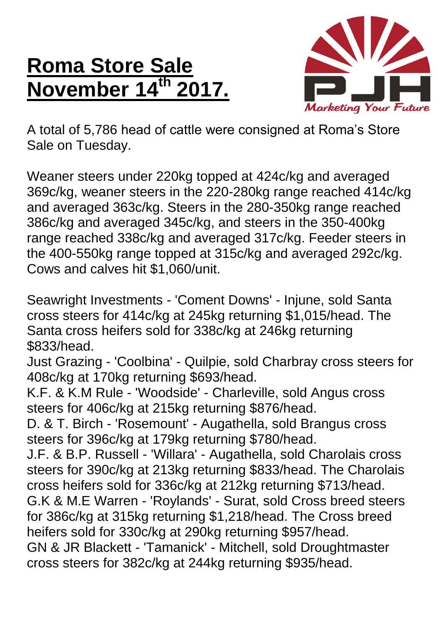## **Roma Store Sale November 14th 2017.**



A total of 5,786 head of cattle were consigned at Roma's Store Sale on Tuesday.

Weaner steers under 220kg topped at 424c/kg and averaged 369c/kg, weaner steers in the 220-280kg range reached 414c/kg and averaged 363c/kg. Steers in the 280-350kg range reached 386c/kg and averaged 345c/kg, and steers in the 350-400kg range reached 338c/kg and averaged 317c/kg. Feeder steers in the 400-550kg range topped at 315c/kg and averaged 292c/kg. Cows and calves hit \$1,060/unit.

Seawright Investments - 'Coment Downs' - Injune, sold Santa cross steers for 414c/kg at 245kg returning \$1,015/head. The Santa cross heifers sold for 338c/kg at 246kg returning \$833/head.

Just Grazing - 'Coolbina' - Quilpie, sold Charbray cross steers for 408c/kg at 170kg returning \$693/head.

K.F. & K.M Rule - 'Woodside' - Charleville, sold Angus cross steers for 406c/kg at 215kg returning \$876/head.

D. & T. Birch - 'Rosemount' - Augathella, sold Brangus cross steers for 396c/kg at 179kg returning \$780/head.

J.F. & B.P. Russell - 'Willara' - Augathella, sold Charolais cross steers for 390c/kg at 213kg returning \$833/head. The Charolais cross heifers sold for 336c/kg at 212kg returning \$713/head. G.K & M.E Warren - 'Roylands' - Surat, sold Cross breed steers for 386c/kg at 315kg returning \$1,218/head. The Cross breed heifers sold for 330c/kg at 290kg returning \$957/head. GN & JR Blackett - 'Tamanick' - Mitchell, sold Droughtmaster cross steers for 382c/kg at 244kg returning \$935/head.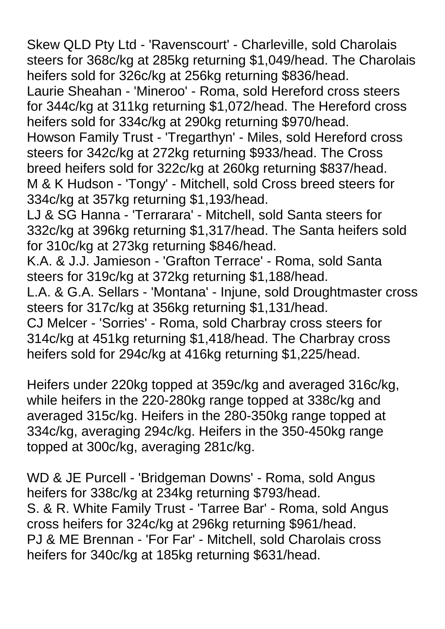Skew QLD Pty Ltd - 'Ravenscourt' - Charleville, sold Charolais steers for 368c/kg at 285kg returning \$1,049/head. The Charolais heifers sold for 326c/kg at 256kg returning \$836/head.

Laurie Sheahan - 'Mineroo' - Roma, sold Hereford cross steers for 344c/kg at 311kg returning \$1,072/head. The Hereford cross heifers sold for 334c/kg at 290kg returning \$970/head.

Howson Family Trust - 'Tregarthyn' - Miles, sold Hereford cross steers for 342c/kg at 272kg returning \$933/head. The Cross breed heifers sold for 322c/kg at 260kg returning \$837/head. M & K Hudson - 'Tongy' - Mitchell, sold Cross breed steers for 334c/kg at 357kg returning \$1,193/head.

LJ & SG Hanna - 'Terrarara' - Mitchell, sold Santa steers for 332c/kg at 396kg returning \$1,317/head. The Santa heifers sold for 310c/kg at 273kg returning \$846/head.

K.A. & J.J. Jamieson - 'Grafton Terrace' - Roma, sold Santa steers for 319c/kg at 372kg returning \$1,188/head.

L.A. & G.A. Sellars - 'Montana' - Injune, sold Droughtmaster cross steers for 317c/kg at 356kg returning \$1,131/head.

CJ Melcer - 'Sorries' - Roma, sold Charbray cross steers for 314c/kg at 451kg returning \$1,418/head. The Charbray cross heifers sold for 294c/kg at 416kg returning \$1,225/head.

Heifers under 220kg topped at 359c/kg and averaged 316c/kg, while heifers in the 220-280kg range topped at 338c/kg and averaged 315c/kg. Heifers in the 280-350kg range topped at 334c/kg, averaging 294c/kg. Heifers in the 350-450kg range topped at 300c/kg, averaging 281c/kg.

WD & JE Purcell - 'Bridgeman Downs' - Roma, sold Angus heifers for 338c/kg at 234kg returning \$793/head. S. & R. White Family Trust - 'Tarree Bar' - Roma, sold Angus cross heifers for 324c/kg at 296kg returning \$961/head. PJ & ME Brennan - 'For Far' - Mitchell, sold Charolais cross heifers for 340c/kg at 185kg returning \$631/head.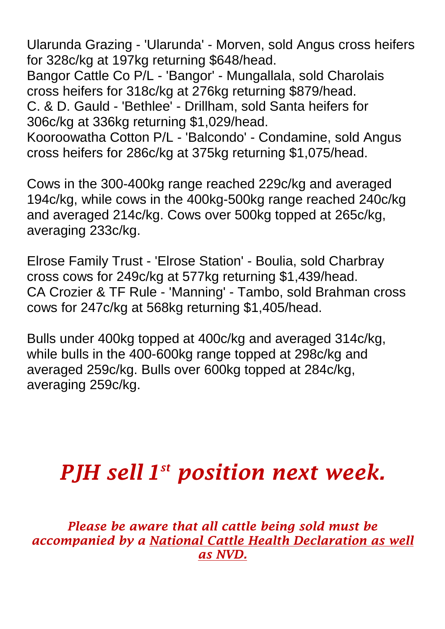Ularunda Grazing - 'Ularunda' - Morven, sold Angus cross heifers for 328c/kg at 197kg returning \$648/head. Bangor Cattle Co P/L - 'Bangor' - Mungallala, sold Charolais cross heifers for 318c/kg at 276kg returning \$879/head. C. & D. Gauld - 'Bethlee' - Drillham, sold Santa heifers for 306c/kg at 336kg returning \$1,029/head. Kooroowatha Cotton P/L - 'Balcondo' - Condamine, sold Angus cross heifers for 286c/kg at 375kg returning \$1,075/head.

Cows in the 300-400kg range reached 229c/kg and averaged 194c/kg, while cows in the 400kg-500kg range reached 240c/kg and averaged 214c/kg. Cows over 500kg topped at 265c/kg, averaging 233c/kg.

Elrose Family Trust - 'Elrose Station' - Boulia, sold Charbray cross cows for 249c/kg at 577kg returning \$1,439/head. CA Crozier & TF Rule - 'Manning' - Tambo, sold Brahman cross cows for 247c/kg at 568kg returning \$1,405/head.

Bulls under 400kg topped at 400c/kg and averaged 314c/kg, while bulls in the 400-600kg range topped at 298c/kg and averaged 259c/kg. Bulls over 600kg topped at 284c/kg, averaging 259c/kg.

## *PJH sell 1 st position next week.*

*Please be aware that all cattle being sold must be accompanied by a National Cattle Health Declaration as well as NVD.*